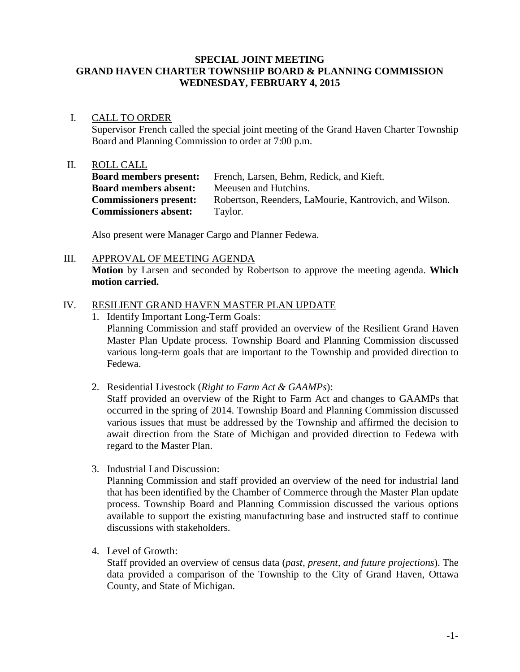#### **SPECIAL JOINT MEETING GRAND HAVEN CHARTER TOWNSHIP BOARD & PLANNING COMMISSION WEDNESDAY, FEBRUARY 4, 2015**

### I. CALL TO ORDER

Supervisor French called the special joint meeting of the Grand Haven Charter Township Board and Planning Commission to order at 7:00 p.m.

### II. ROLL CALL

**Board members present:** French, Larsen, Behm, Redick, and Kieft. **Board members absent:** Meeusen and Hutchins. **Commissioners present:** Robertson, Reenders, LaMourie, Kantrovich, and Wilson. **Commissioners absent:** Taylor.

Also present were Manager Cargo and Planner Fedewa.

### III. APPROVAL OF MEETING AGENDA

**Motion** by Larsen and seconded by Robertson to approve the meeting agenda. **Which motion carried.**

# IV. RESILIENT GRAND HAVEN MASTER PLAN UPDATE

- 1. Identify Important Long-Term Goals: Planning Commission and staff provided an overview of the Resilient Grand Haven Master Plan Update process. Township Board and Planning Commission discussed various long-term goals that are important to the Township and provided direction to Fedewa.
- 2. Residential Livestock (*Right to Farm Act & GAAMPs*):

Staff provided an overview of the Right to Farm Act and changes to GAAMPs that occurred in the spring of 2014. Township Board and Planning Commission discussed various issues that must be addressed by the Township and affirmed the decision to await direction from the State of Michigan and provided direction to Fedewa with regard to the Master Plan.

3. Industrial Land Discussion:

Planning Commission and staff provided an overview of the need for industrial land that has been identified by the Chamber of Commerce through the Master Plan update process. Township Board and Planning Commission discussed the various options available to support the existing manufacturing base and instructed staff to continue discussions with stakeholders.

4. Level of Growth:

Staff provided an overview of census data (*past, present, and future projections*). The data provided a comparison of the Township to the City of Grand Haven, Ottawa County, and State of Michigan.